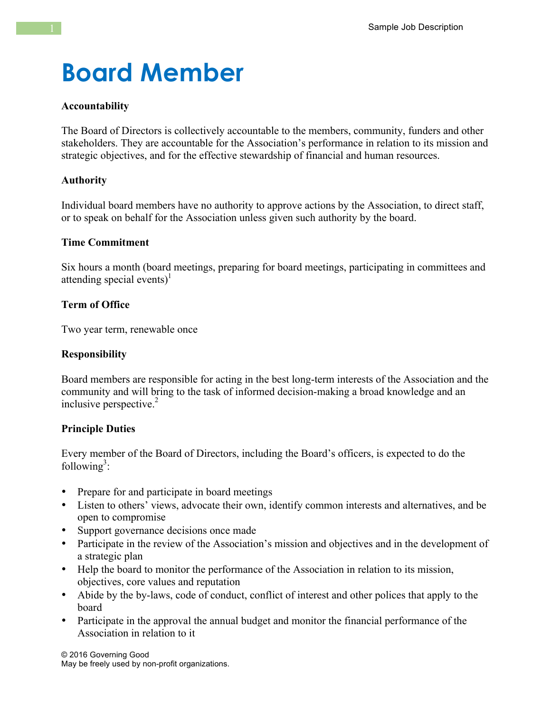# **Board Member**

## **Accountability**

The Board of Directors is collectively accountable to the members, community, funders and other stakeholders. They are accountable for the Association's performance in relation to its mission and strategic objectives, and for the effective stewardship of financial and human resources.

### **Authority**

Individual board members have no authority to approve actions by the Association, to direct staff, or to speak on behalf for the Association unless given such authority by the board.

#### **Time Commitment**

Six hours a month (board meetings, preparing for board meetings, participating in committees and attending special events)<sup>1</sup>

# **Term of Office**

Two year term, renewable once

## **Responsibility**

Board members are responsible for acting in the best long-term interests of the Association and the community and will bring to the task of informed decision-making a broad knowledge and an inclusive perspective.<sup>2</sup>

# **Principle Duties**

Every member of the Board of Directors, including the Board's officers, is expected to do the following<sup>3</sup>:

- Prepare for and participate in board meetings
- Listen to others' views, advocate their own, identify common interests and alternatives, and be open to compromise
- Support governance decisions once made
- Participate in the review of the Association's mission and objectives and in the development of a strategic plan
- Help the board to monitor the performance of the Association in relation to its mission, objectives, core values and reputation
- Abide by the by-laws, code of conduct, conflict of interest and other polices that apply to the board
- Participate in the approval the annual budget and monitor the financial performance of the Association in relation to it

© 2016 Governing Good May be freely used by non-profit organizations.